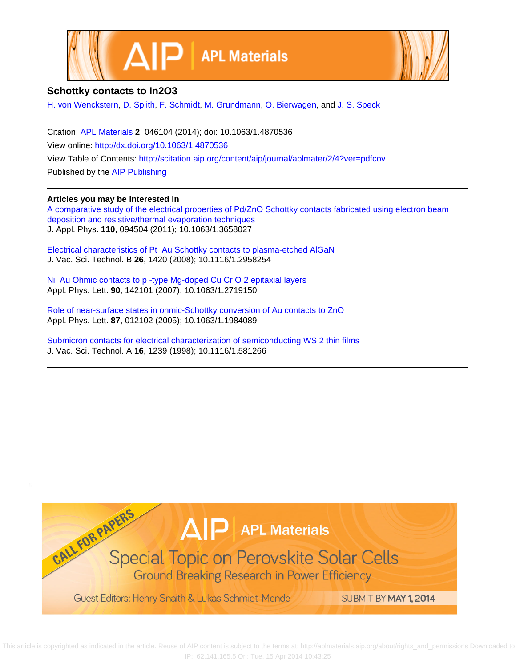



## **Schottky contacts to In2O3**

[H. von Wenckstern](http://scitation.aip.org/search?value1=H.+von+Wenckstern&option1=author), [D. Splith,](http://scitation.aip.org/search?value1=D.+Splith&option1=author) [F. Schmidt](http://scitation.aip.org/search?value1=F.+Schmidt&option1=author), [M. Grundmann](http://scitation.aip.org/search?value1=M.+Grundmann&option1=author), [O. Bierwagen,](http://scitation.aip.org/search?value1=O.+Bierwagen&option1=author) and [J. S. Speck](http://scitation.aip.org/search?value1=J.+S.+Speck&option1=author)

Citation: [APL Materials](http://scitation.aip.org/content/aip/journal/aplmater?ver=pdfcov) **2**, 046104 (2014); doi: 10.1063/1.4870536 View online: <http://dx.doi.org/10.1063/1.4870536> View Table of Contents: <http://scitation.aip.org/content/aip/journal/aplmater/2/4?ver=pdfcov> Published by the [AIP Publishing](http://scitation.aip.org/content/aip?ver=pdfcov)

## **Articles you may be interested in**

[A comparative study of the electrical properties of Pd/ZnO Schottky contacts fabricated using electron beam](http://scitation.aip.org/content/aip/journal/jap/110/9/10.1063/1.3658027?ver=pdfcov) [deposition and resistive/thermal evaporation techniques](http://scitation.aip.org/content/aip/journal/jap/110/9/10.1063/1.3658027?ver=pdfcov) J. Appl. Phys. **110**, 094504 (2011); 10.1063/1.3658027

[Electrical characteristics of Pt Au Schottky contacts to plasma-etched AlGaN](http://scitation.aip.org/content/avs/journal/jvstb/26/4/10.1116/1.2958254?ver=pdfcov) J. Vac. Sci. Technol. B **26**, 1420 (2008); 10.1116/1.2958254

[Ni Au Ohmic contacts to p -type Mg-doped Cu Cr O 2 epitaxial layers](http://scitation.aip.org/content/aip/journal/apl/90/14/10.1063/1.2719150?ver=pdfcov) Appl. Phys. Lett. **90**, 142101 (2007); 10.1063/1.2719150

[Role of near-surface states in ohmic-Schottky conversion of Au contacts to ZnO](http://scitation.aip.org/content/aip/journal/apl/87/1/10.1063/1.1984089?ver=pdfcov) Appl. Phys. Lett. **87**, 012102 (2005); 10.1063/1.1984089

[Submicron contacts for electrical characterization of semiconducting WS 2 thin films](http://scitation.aip.org/content/avs/journal/jvsta/16/3/10.1116/1.581266?ver=pdfcov) J. Vac. Sci. Technol. A **16**, 1239 (1998); 10.1116/1.581266



 This article is copyrighted as indicated in the article. Reuse of AIP content is subject to the terms at: http://aplmaterials.aip.org/about/rights\_and\_permissions Downloaded to IP: 62.141.165.5 On: Tue, 15 Apr 2014 10:43:25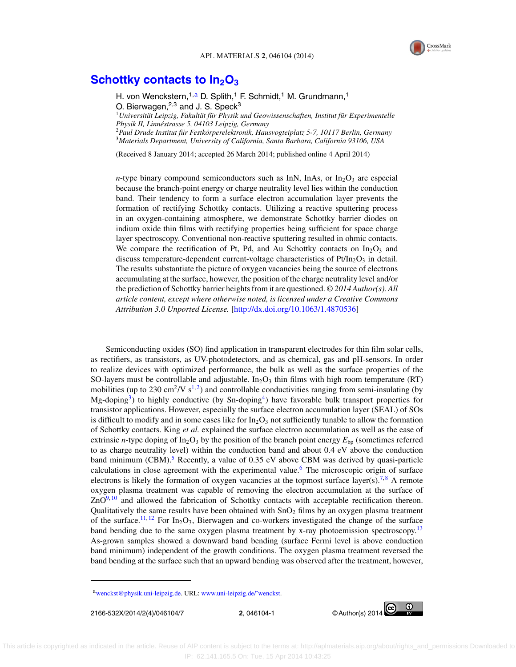

## **Schottky contacts to In<sub>2</sub>O<sub>3</sub>**

H. von Wenckstern,<sup>1,a</sup> D. Splith,<sup>1</sup> F. Schmidt,<sup>1</sup> M. Grundmann,<sup>1</sup> O. Bierwagen, $2,3$  and J. S. Speck $3$ <sup>1</sup> Universität Leipzig, Fakultät für Physik und Geowissenschaften, Institut für Experimentelle *Physik II, Linnestrasse 5, 04103 Leipzig, Germany ´* <sup>2</sup>*Paul Drude Institut fur Festk ¨ orperelektronik, Hausvogteiplatz 5-7, 10117 Berlin, Germany ¨* <sup>3</sup>*Materials Department, University of California, Santa Barbara, California 93106, USA*

(Received 8 January 2014; accepted 26 March 2014; published online 4 April 2014)

*n*-type binary compound semiconductors such as InN, InAs, or In<sub>2</sub>O<sub>3</sub> are especial because the branch-point energy or charge neutrality level lies within the conduction band. Their tendency to form a surface electron accumulation layer prevents the formation of rectifying Schottky contacts. Utilizing a reactive sputtering process in an oxygen-containing atmosphere, we demonstrate Schottky barrier diodes on indium oxide thin films with rectifying properties being sufficient for space charge layer spectroscopy. Conventional non-reactive sputtering resulted in ohmic contacts. We compare the rectification of Pt, Pd, and Au Schottky contacts on  $In_2O_3$  and discuss temperature-dependent current-voltage characteristics of  $Pt/In<sub>2</sub>O<sub>3</sub>$  in detail. The results substantiate the picture of oxygen vacancies being the source of electrons accumulating at the surface, however, the position of the charge neutrality level and/or the prediction of Schottky barrier heights from it are questioned. *© 2014 Author(s). All article content, except where otherwise noted, is licensed under a Creative Commons Attribution 3.0 Unported License.* [\[http://dx.doi.org/10.1063/1.4870536\]](http://dx.doi.org/10.1063/1.4870536)

Semiconducting oxides (SO) find application in transparent electrodes for thin film solar cells, as rectifiers, as transistors, as UV-photodetectors, and as chemical, gas and pH-sensors. In order to realize devices with optimized performance, the bulk as well as the surface properties of the SO-layers must be controllable and adjustable. In<sub>2</sub>O<sub>3</sub> thin films with high room temperature (RT) mobilities (up to 230 cm<sup>2</sup>/V s<sup>1,2</sup>) and controllable conductivities ranging from semi-insulating (by  $Mg$ -doping<sup>3</sup>) to highly conductive (by Sn-doping<sup>4</sup>) have favorable bulk transport properties for transistor applications. However, especially the surface electron accumulation layer (SEAL) of SOs is difficult to modify and in some cases like for  $In_2O_3$  not sufficiently tunable to allow the formation of Schottky contacts. King *et al.* explained the surface electron accumulation as well as the ease of extrinsic *n*-type doping of  $In_2O_3$  by the position of the branch point energy  $E_{bp}$  (sometimes referred to as charge neutrality level) within the conduction band and about 0.4 eV above the conduction band minimum (CBM).<sup>[5](#page-6-0)</sup> Recently, a value of 0.35 eV above CBM was derived by quasi-particle calculations in close agreement with the experimental value.<sup>[6](#page-6-0)</sup> The microscopic origin of surface electrons is likely the formation of oxygen vacancies at the topmost surface layer(s).<sup>[7,](#page-6-0)[8](#page-6-0)</sup> A remote oxygen plasma treatment was capable of removing the electron accumulation at the surface of  $ZnO<sup>9,10</sup>$  $ZnO<sup>9,10</sup>$  $ZnO<sup>9,10</sup>$  and allowed the fabrication of Schottky contacts with acceptable rectification thereon. Qualitatively the same results have been obtained with  $SnO<sub>2</sub>$  films by an oxygen plasma treatment of the surface.<sup>[11,](#page-6-0) [12](#page-7-0)</sup> For In<sub>2</sub>O<sub>3</sub>, Bierwagen and co-workers investigated the change of the surface band bending due to the same oxygen plasma treatment by x-ray photoemission spectroscopy.<sup>[13](#page-7-0)</sup> As-grown samples showed a downward band bending (surface Fermi level is above conduction band minimum) independent of the growth conditions. The oxygen plasma treatment reversed the band bending at the surface such that an upward bending was observed after the treatment, however,



[awenckst@physik.uni-leipzig.de.](mailto: wenckst@physik.uni-leipzig.de) URL: [www.uni-leipzig.de/˜wenckst.](http://www.uni-leipzig.de/~wenckst)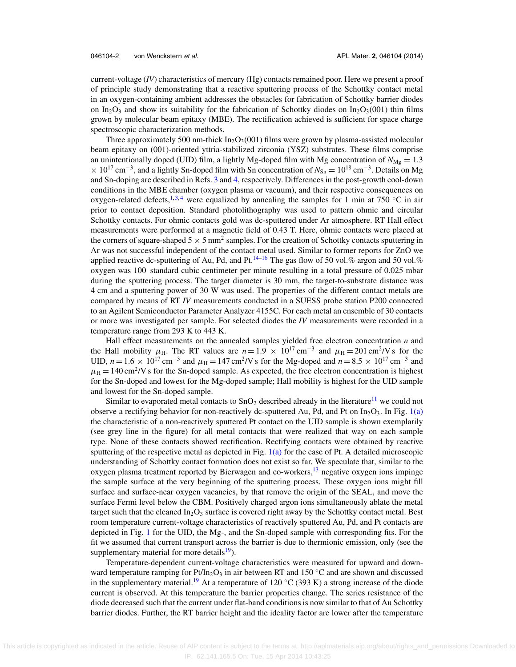current-voltage (*IV*) characteristics of mercury (Hg) contacts remained poor. Here we present a proof of principle study demonstrating that a reactive sputtering process of the Schottky contact metal in an oxygen-containing ambient addresses the obstacles for fabrication of Schottky barrier diodes on In<sub>2</sub>O<sub>3</sub> and show its suitability for the fabrication of Schottky diodes on In<sub>2</sub>O<sub>3</sub>(001) thin films grown by molecular beam epitaxy (MBE). The rectification achieved is sufficient for space charge spectroscopic characterization methods.

Three approximately 500 nm-thick  $In_2O_3(001)$  films were grown by plasma-assisted molecular beam epitaxy on (001)-oriented yttria-stabilized zirconia (YSZ) substrates. These films comprise an unintentionally doped (UID) film, a lightly Mg-doped film with Mg concentration of  $N_{\text{Mg}} = 1.3$  $\times$  10<sup>17</sup> cm<sup>-3</sup>, and a lightly Sn-doped film with Sn concentration of  $N_{\text{Sn}} = 10^{18}$  cm<sup>-3</sup>. Details on Mg and Sn-doping are described in Refs. [3](#page-6-0) and [4,](#page-6-0) respectively. Differences in the post-growth cool-down conditions in the MBE chamber (oxygen plasma or vacuum), and their respective consequences on oxygen-related defects,<sup>1,[3,](#page-6-0)[4](#page-6-0)</sup> were equalized by annealing the samples for 1 min at 750 °C in air prior to contact deposition. Standard photolithography was used to pattern ohmic and circular Schottky contacts. For ohmic contacts gold was dc-sputtered under Ar atmosphere. RT Hall effect measurements were performed at a magnetic field of 0.43 T. Here, ohmic contacts were placed at the corners of square-shaped  $5 \times 5$  mm<sup>2</sup> samples. For the creation of Schottky contacts sputtering in Ar was not successful independent of the contact metal used. Similar to former reports for ZnO we applied reactive dc-sputtering of Au, Pd, and Pt.<sup>[14–16](#page-7-0)</sup> The gas flow of 50 vol.% argon and 50 vol.% oxygen was 100 standard cubic centimeter per minute resulting in a total pressure of 0.025 mbar during the sputtering process. The target diameter is 30 mm, the target-to-substrate distance was 4 cm and a sputtering power of 30 W was used. The properties of the different contact metals are compared by means of RT *IV* measurements conducted in a SUESS probe station P200 connected to an Agilent Semiconductor Parameter Analyzer 4155C. For each metal an ensemble of 30 contacts or more was investigated per sample. For selected diodes the *IV* measurements were recorded in a temperature range from 293 K to 443 K.

Hall effect measurements on the annealed samples yielded free electron concentration *n* and the Hall mobility  $\mu$ <sub>H</sub>. The RT values are  $n = 1.9 \times 10^{17}$  cm<sup>-3</sup> and  $\mu$ <sub>H</sub> = 201 cm<sup>2</sup>/V s for the UID,  $n = 1.6 \times 10^{17}$  cm<sup>-3</sup> and  $\mu_H = 147$  cm<sup>2</sup>/V s for the Mg-doped and  $n = 8.5 \times 10^{17}$  cm<sup>-3</sup> and  $\mu_{\rm H}$  = 140 cm<sup>2</sup>/V s for the Sn-doped sample. As expected, the free electron concentration is highest for the Sn-doped and lowest for the Mg-doped sample; Hall mobility is highest for the UID sample and lowest for the Sn-doped sample.

Similar to evaporated metal contacts to  $SnO<sub>2</sub>$  described already in the literature<sup>[11](#page-6-0)</sup> we could not observe a rectifying behavior for non-reactively dc-sputtered Au, Pd, and Pt on  $In_2O_3$ . In Fig. [1\(a\)](#page-3-0) the characteristic of a non-reactively sputtered Pt contact on the UID sample is shown exemplarily (see grey line in the figure) for all metal contacts that were realized that way on each sample type. None of these contacts showed rectification. Rectifying contacts were obtained by reactive sputtering of the respective metal as depicted in Fig.  $1(a)$  for the case of Pt. A detailed microscopic understanding of Schottky contact formation does not exist so far. We speculate that, similar to the oxygen plasma treatment reported by Bierwagen and co-workers,<sup>13</sup> negative oxygen ions impinge the sample surface at the very beginning of the sputtering process. These oxygen ions might fill surface and surface-near oxygen vacancies, by that remove the origin of the SEAL, and move the surface Fermi level below the CBM. Positively charged argon ions simultaneously ablate the metal target such that the cleaned  $In_2O_3$  surface is covered right away by the Schottky contact metal. Best room temperature current-voltage characteristics of reactively sputtered Au, Pd, and Pt contacts are depicted in Fig. [1](#page-3-0) for the UID, the Mg-, and the Sn-doped sample with corresponding fits. For the fit we assumed that current transport across the barrier is due to thermionic emission, only (see the supplementary material for more details $19$ ).

Temperature-dependent current-voltage characteristics were measured for upward and downward temperature ramping for Pt/In<sub>2</sub>O<sub>3</sub> in air between RT and 150 °C and are shown and discussed in the supplementary material.<sup>19</sup> At a temperature of 120 °C (393 K) a strong increase of the diode current is observed. At this temperature the barrier properties change. The series resistance of the diode decreased such that the current under flat-band conditions is now similar to that of Au Schottky barrier diodes. Further, the RT barrier height and the ideality factor are lower after the temperature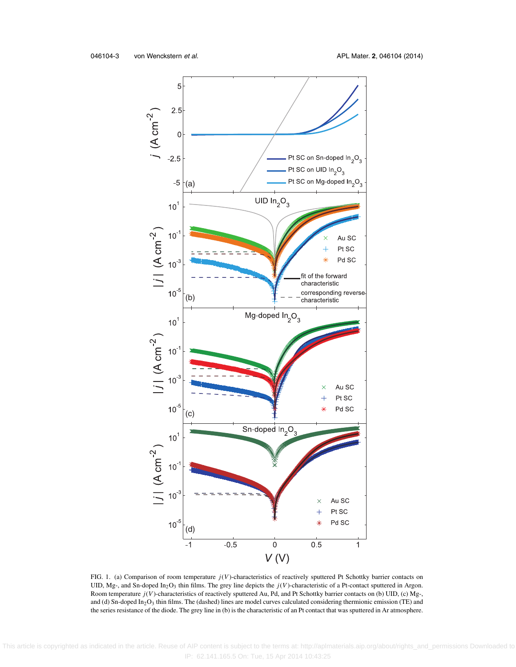<span id="page-3-0"></span>

FIG. 1. (a) Comparison of room temperature *j*(*V*)-characteristics of reactively sputtered Pt Schottky barrier contacts on UID, Mg-, and Sn-doped In<sub>2</sub>O<sub>3</sub> thin films. The grey line depicts the *j*(*V*)-characteristic of a Pt-contact sputtered in Argon. Room temperature *j*(*V*)-characteristics of reactively sputtered Au, Pd, and Pt Schottky barrier contacts on (b) UID, (c) Mg-, and (d) Sn-doped In<sub>2</sub>O<sub>3</sub> thin films. The (dashed) lines are model curves calculated considering thermionic emission (TE) and the series resistance of the diode. The grey line in (b) is the characteristic of an Pt contact that was sputtered in Ar atmosphere.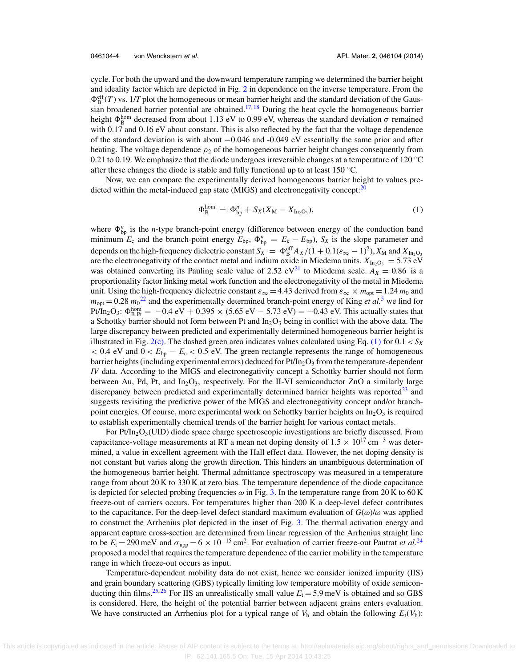<span id="page-4-0"></span>cycle. For both the upward and the downward temperature ramping we determined the barrier height and ideality factor which are depicted in Fig. [2](#page-5-0) in dependence on the inverse temperature. From the  $\Phi_B^{\text{eff}}(T)$  vs. 1/*T* plot the homogeneous or mean barrier height and the standard deviation of the Gaus-sian broadened barrier potential are obtained.<sup>[17,](#page-7-0)[18](#page-7-0)</sup> During the heat cycle the homogeneous barrier height  $\Phi_B^{\text{hom}}$  decreased from about 1.13 eV to 0.99 eV, whereas the standard deviation  $\sigma$  remained with 0.17 and 0.16 eV about constant. This is also reflected by the fact that the voltage dependence of the standard deviation is with about −0.046 and -0.049 eV essentially the same prior and after heating. The voltage dependence  $\rho_2$  of the homogeneous barrier height changes consequently from 0.21 to 0.19. We emphasize that the diode undergoes irreversible changes at a temperature of 120  $\degree$ C after these changes the diode is stable and fully functional up to at least 150 ◦C.

Now, we can compare the experimentally derived homogeneous barrier height to values predicted within the metal-induced gap state (MIGS) and electronegativity concept: $20$ 

$$
\Phi_{\rm B}^{\rm hom} = \Phi_{\rm bp}^n + S_X(X_{\rm M} - X_{\rm In_2O_3}),\tag{1}
$$

where  $\Phi_{\text{bp}}^n$  is the *n*-type branch-point energy (difference between energy of the conduction band minimum  $E_c$  and the branch-point energy  $E_{bp}$ ,  $\Phi_{bp}^n = E_c - E_{bp}$ ,  $S_x$  is the slope parameter and depends on the high-frequency dielectric constant  $S_X = \Phi_B^{\text{eff}} A_X/(1 + 0.1(\epsilon_\infty - 1)^2)$ ,  $X_M$  and  $X_{In_2O_3}$ are the electronegativity of the contact metal and indium oxide in Miedema units.  $X_{\text{Ino}}$ <sub>O3</sub> = 5.73 eV was obtained converting its Pauling scale value of 2.52 eV<sup>[21](#page-7-0)</sup> to Miedema scale.  $A_X = 0.86$  is a proportionality factor linking metal work function and the electronegativity of the metal in Miedema unit. Using the high-frequency dielectric constant  $\varepsilon_{\infty} = 4.43$  derived from  $\varepsilon_{\infty} \times m_{\text{opt}} = 1.24 m_0$  and  $m_{\text{opt}} = 0.28 m_0^{22}$  $m_{\text{opt}} = 0.28 m_0^{22}$  $m_{\text{opt}} = 0.28 m_0^{22}$  and the experimentally determined branch-point energy of King *et al.*<sup>[5](#page-6-0)</sup> we find for Pt/In<sub>2</sub>O<sub>3</sub>:  $\Phi_{B,Pt}^{hom} = -0.4 \text{ eV} + 0.395 \times (5.65 \text{ eV} - 5.73 \text{ eV}) = -0.43 \text{ eV}$ . This actually states that a Schottky barrier should not form between Pt and  $In_2O_3$  being in conflict with the above data. The large discrepancy between predicted and experimentally determined homogeneous barrier height is illustrated in Fig.  $2(c)$ . The dashed green area indicates values calculated using Eq. (1) for  $0.1 < S_X$  $< 0.4$  eV and  $0 < E_{\rm bp} - E_{\rm c} < 0.5$  eV. The green rectangle represents the range of homogeneous barrier heights (including experimental errors) deduced for  $Pt/In_2O_3$  from the temperature-dependent *IV* data. According to the MIGS and electronegativity concept a Schottky barrier should not form between Au, Pd, Pt, and  $In_2O_3$ , respectively. For the II-VI semiconductor ZnO a similarly large discrepancy between predicted and experimentally determined barrier heights was reported $^{23}$  $^{23}$  $^{23}$  and suggests revisiting the predictive power of the MIGS and electronegativity concept and/or branchpoint energies. Of course, more experimental work on Schottky barrier heights on  $In_2O_3$  is required to establish experimentally chemical trends of the barrier height for various contact metals.

For  $Pt/In_2O_3(UID)$  diode space charge spectroscopic investigations are briefly discussed. From capacitance-voltage measurements at RT a mean net doping density of  $1.5 \times 10^{17}$  cm<sup>-3</sup> was determined, a value in excellent agreement with the Hall effect data. However, the net doping density is not constant but varies along the growth direction. This hinders an unambiguous determination of the homogeneous barrier height. Thermal admittance spectroscopy was measured in a temperature range from about 20 K to 330 K at zero bias. The temperature dependence of the diode capacitance is depicted for selected probing frequencies  $\omega$  in Fig. [3.](#page-6-0) In the temperature range from 20 K to 60 K freeze-out of carriers occurs. For temperatures higher than 200 K a deep-level defect contributes to the capacitance. For the deep-level defect standard maximum evaluation of  $G(\omega)/\omega$  was applied to construct the Arrhenius plot depicted in the inset of Fig. [3.](#page-6-0) The thermal activation energy and apparent capture cross-section are determined from linear regression of the Arrhenius straight line to be  $E_t = 290$  meV and  $\sigma_{app} = 6 \times 10^{-15}$  cm<sup>2</sup>. For evaluation of carrier freeze-out Pautrat *et al.*<sup>[24](#page-7-0)</sup> proposed a model that requires the temperature dependence of the carrier mobility in the temperature range in which freeze-out occurs as input.

Temperature-dependent mobility data do not exist, hence we consider ionized impurity (IIS) and grain boundary scattering (GBS) typically limiting low temperature mobility of oxide semicon-ducting thin films.<sup>[25,](#page-7-0) [26](#page-7-0)</sup> For IIS an unrealistically small value  $E_t = 5.9$  meV is obtained and so GBS is considered. Here, the height of the potential barrier between adjacent grains enters evaluation. We have constructed an Arrhenius plot for a typical range of  $V<sub>b</sub>$  and obtain the following  $E<sub>t</sub>(V<sub>b</sub>)$ :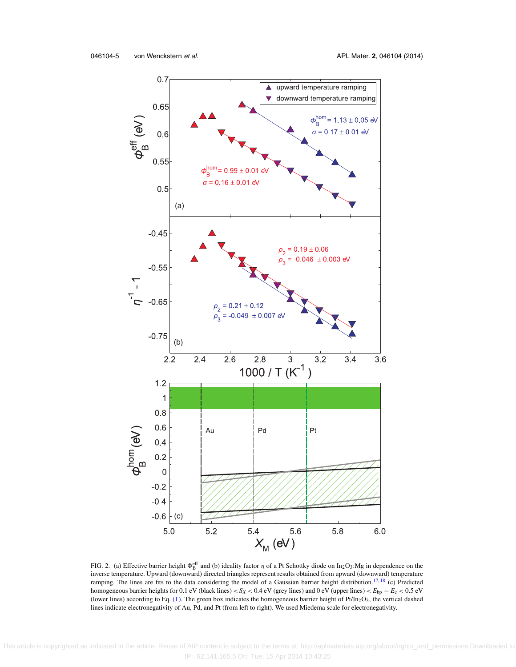<span id="page-5-0"></span>

FIG. 2. (a) Effective barrier height  $\Phi_B^{eff}$  and (b) ideality factor  $\eta$  of a Pt Schottky diode on In<sub>2</sub>O<sub>3</sub>:Mg in dependence on the inverse temperature. Upward (downward) directed triangles represent results obtained from upward (downward) temperature ramping. The lines are fits to the data considering the model of a Gaussian barrier height distribution.<sup>17, [18](#page-7-0)</sup> (c) Predicted homogeneous barrier heights for 0.1 eV (black lines) < *SX* < 0.4 eV (grey lines) and 0 eV (upper lines) < *E*bp − *E*<sup>c</sup> < 0.5 eV (lower lines) according to Eq. [\(1\).](#page-4-0) The green box indicates the homogeneous barrier height of  $Pt/In_2O_3$ , the vertical dashed lines indicate electronegativity of Au, Pd, and Pt (from left to right). We used Miedema scale for electronegativity.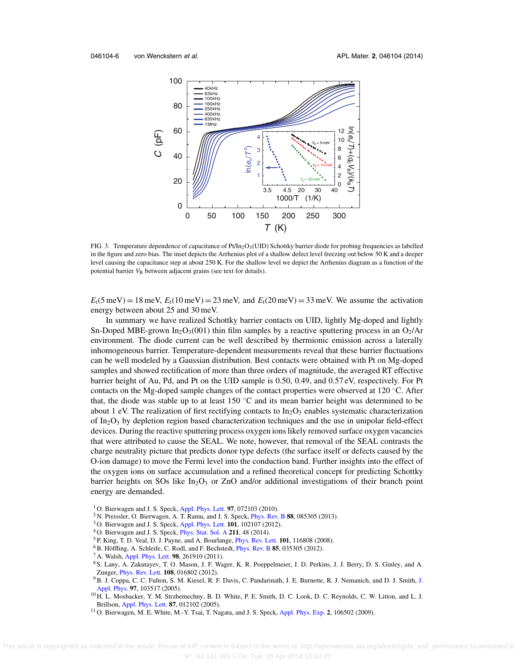<span id="page-6-0"></span>

FIG. 3. Temperature dependence of capacitance of Pt/In<sub>2</sub>O<sub>3</sub>(UID) Schottky barrier diode for probing frequencies as labelled in the figure and zero bias. The inset depicts the Arrhenius plot of a shallow defect level freezing out below 50 K and a deeper level causing the capacitance step at about 250 K. For the shallow level we depict the Arrhenius diagram as a function of the potential barrier  $V<sub>B</sub>$  between adjacent grains (see text for details).

 $E_t(5 \text{ meV}) = 18 \text{ meV}, E_t(10 \text{ meV}) = 23 \text{ meV}, \text{ and } E_t(20 \text{ meV}) = 33 \text{ meV}.$  We assume the activation energy between about 25 and 30 meV.

In summary we have realized Schottky barrier contacts on UID, lightly Mg-doped and lightly Sn-Doped MBE-grown In<sub>2</sub>O<sub>3</sub>(001) thin film samples by a reactive sputtering process in an O<sub>2</sub>/Ar environment. The diode current can be well described by thermionic emission across a laterally inhomogeneous barrier. Temperature-dependent measurements reveal that these barrier fluctuations can be well modeled by a Gaussian distribution. Best contacts were obtained with Pt on Mg-doped samples and showed rectification of more than three orders of magnitude, the averaged RT effective barrier height of Au, Pd, and Pt on the UID sample is 0.50, 0.49, and 0.57 eV, respectively. For Pt contacts on the Mg-doped sample changes of the contact properties were observed at 120 ◦C. After that, the diode was stable up to at least 150 ◦C and its mean barrier height was determined to be about 1 eV. The realization of first rectifying contacts to  $In_2O_3$  enables systematic characterization of  $In_2O_3$  by depletion region based characterization techniques and the use in unipolar field-effect devices. During the reactive sputtering process oxygen ions likely removed surface oxygen vacancies that were attributed to cause the SEAL. We note, however, that removal of the SEAL contrasts the charge neutrality picture that predicts donor type defects (the surface itself or defects caused by the O-ion damage) to move the Fermi level into the conduction band. Further insights into the effect of the oxygen ions on surface accumulation and a refined theoretical concept for predicting Schottky barrier heights on SOs like  $In_2O_3$  or ZnO and/or additional investigations of their branch point energy are demanded.

- <sup>1</sup> O. Bierwagen and J. S. Speck, [Appl. Phys. Lett.](http://dx.doi.org/10.1063/1.3480416) **97**, 072103 (2010).
- <sup>2</sup> N. Preissler, O. Bierwagen, A. T. Ramu, and J. S. Speck, [Phys. Rev. B](http://dx.doi.org/10.1103/PhysRevB.88.085305) **88**, 085305 (2013).
- <sup>3</sup> O. Bierwagen and J. S. Speck, [Appl. Phys. Lett.](http://dx.doi.org/10.1063/1.4751854) **101**, 102107 (2012).
- <sup>4</sup> O. Bierwagen and J. S. Speck, [Phys. Stat. Sol. A](http://dx.doi.org/10.1002/pssa.201330224) **211**, 48 (2014).
- <sup>5</sup> P. King, T. D. Veal, D. J. Payne, and A. Bourlange, [Phys. Rev. Lett.](http://dx.doi.org/10.1103/PhysRevLett.101.116808) **101**, 116808 (2008).
- <sup>6</sup>B. Höffling, A. Schleife, C. Rodl, and F. Bechstedt, *[Phys. Rev. B](http://dx.doi.org/10.1103/PhysRevB.85.035305)* 85, 035305 (2012).
- <sup>7</sup> A. Walsh, [Appl. Phys. Lett.](http://dx.doi.org/10.1063/1.3604811) **98**, 261910 (2011).
- <sup>8</sup> S. Lany, A. Zakutayev, T. O. Mason, J. F. Wager, K. R. Poeppelmeier, J. D. Perkins, J. J. Berry, D. S. Ginley, and A. Zunger, [Phys. Rev. Lett.](http://dx.doi.org/10.1103/PhysRevLett.108.016802) **108**, 016802 (2012).
- 9B. J. Coppa, C. C. Fulton, S. M. Kiesel, R. F. Davis, C. Pandarinath, J. E. Burnette, R. J. Nemanich, and D. J. Smith, [J.](http://dx.doi.org/10.1063/1.1898436) [Appl. Phys.](http://dx.doi.org/10.1063/1.1898436) **97**, 103517 (2005).
- <sup>10</sup> H. L. Mosbacker, Y. M. Strzhemechny, B. D. White, P. E. Smith, D. C. Look, D. C. Reynolds, C. W. Litton, and L. J. Brillson, [Appl. Phys. Lett.](http://dx.doi.org/10.1063/1.1984089) **87**, 012102 (2005).
- <sup>11</sup> O. Bierwagen, M. E. White, M.-Y. Tsai, T. Nagata, and J. S. Speck, [Appl. Phys. Exp.](http://dx.doi.org/10.1143/APEX.2.106502) **2**, 106502 (2009).